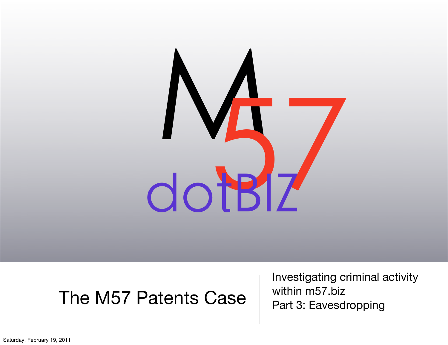

## The M57 Patents Case

Investigating criminal activity within m57.biz Part 3: Eavesdropping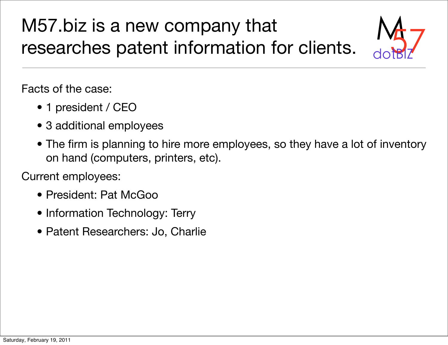## M57.biz is a new company that  $M_{\odot}$ <br>researches patent information for clients.  $M_{\odot}$



Facts of the case:

- 1 president / CEO
- 3 additional employees
- The firm is planning to hire more employees, so they have a lot of inventory on hand (computers, printers, etc).

Current employees:

- President: Pat McGoo
- Information Technology: Terry
- Patent Researchers: Jo, Charlie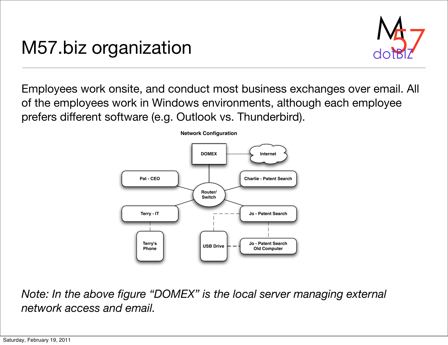## M57.biz organization



Employees work onsite, and conduct most business exchanges over email. All of the employees work in Windows environments, although each employee prefers different software (e.g. Outlook vs. Thunderbird).



*Note: In the above figure "DOMEX" is the local server managing external network access and email.*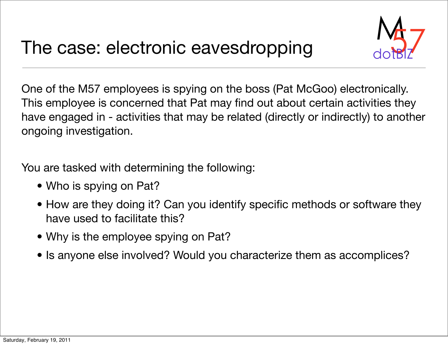

One of the M57 employees is spying on the boss (Pat McGoo) electronically. This employee is concerned that Pat may find out about certain activities they have engaged in - activities that may be related (directly or indirectly) to another ongoing investigation.

You are tasked with determining the following:

- Who is spying on Pat?
- How are they doing it? Can you identify specific methods or software they have used to facilitate this?
- Why is the employee spying on Pat?
- Is anyone else involved? Would you characterize them as accomplices?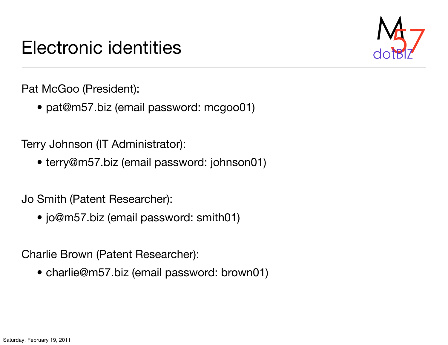## Electronic identities



Pat McGoo (President):

• [pat@m57.biz \(email password: mcgoo01\)](mailto:alison@m57.biz)

Terry Johnson (IT Administrator):

• [terry@m57.biz](mailto:jean@m57.biz) (email password: johnson01)

Jo Smith (Patent Researcher):

• [jo@m57.biz](mailto:jean@m57.biz) (email password: smith01)

Charlie Brown (Patent Researcher):

• [charlie@m57.biz](mailto:jean@m57.biz) (email password: brown01)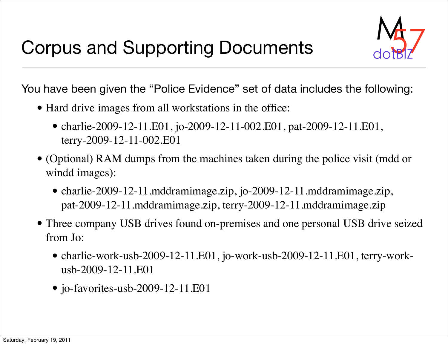

You have been given the "Police Evidence" set of data includes the following:

- Hard drive images from all workstations in the office:
	- charlie-2009-12-11.E01, jo-2009-12-11-002.E01, pat-2009-12-11.E01, terry-2009-12-11-002.E01
- (Optional) RAM dumps from the machines taken during the police visit (mdd or windd images):
	- charlie-2009-12-11.mddramimage.zip, jo-2009-12-11.mddramimage.zip, pat-2009-12-11.mddramimage.zip, terry-2009-12-11.mddramimage.zip
- Three company USB drives found on-premises and one personal USB drive seized from Jo:
	- charlie-work-usb-2009-12-11.E01, jo-work-usb-2009-12-11.E01, terry-workusb-2009-12-11.E01
	- jo-favorites-usb-2009-12-11.E01